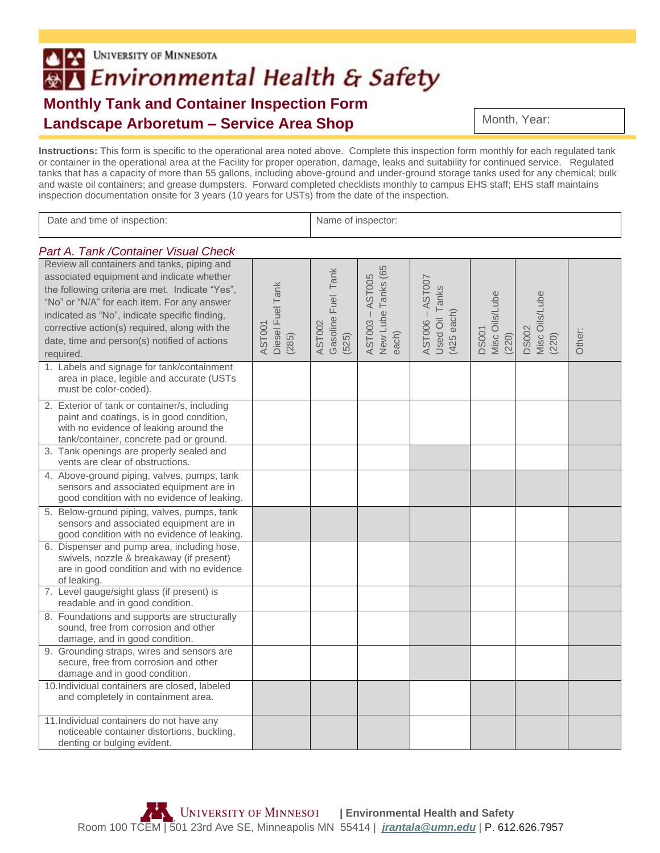## **UNIVERSITY OF MINNESOTA**  $|2|$ ®△ Environmental Health & Safety **Monthly Tank and Container Inspection Form Landscape Arboretum – Service Area Shop**

Month, Year:

**Instructions:** This form is specific to the operational area noted above. Complete this inspection form monthly for each regulated tank or container in the operational area at the Facility for proper operation, damage, leaks and suitability for continued service. Regulated tanks that has a capacity of more than 55 gallons, including above-ground and under-ground storage tanks used for any chemical; bulk and waste oil containers; and grease dumpsters. Forward completed checklists monthly to campus EHS staff; EHS staff maintains inspection documentation onsite for 3 years (10 years for USTs) from the date of the inspection.

| Date and time of inspection:                                                                                                                                                                                                                                                                                                                              |                                     | Name of inspector:                                 |                                                   |                                                       |                                         |                                          |        |
|-----------------------------------------------------------------------------------------------------------------------------------------------------------------------------------------------------------------------------------------------------------------------------------------------------------------------------------------------------------|-------------------------------------|----------------------------------------------------|---------------------------------------------------|-------------------------------------------------------|-----------------------------------------|------------------------------------------|--------|
| Part A. Tank / Container Visual Check                                                                                                                                                                                                                                                                                                                     |                                     |                                                    |                                                   |                                                       |                                         |                                          |        |
| Review all containers and tanks, piping and<br>associated equipment and indicate whether<br>the following criteria are met. Indicate "Yes",<br>"No" or "N/A" for each item. For any answer<br>indicated as "No", indicate specific finding,<br>corrective action(s) required, along with the<br>date, time and person(s) notified of actions<br>required. | Diesel Fuel Tank<br>AST001<br>(285) | Tank<br>Fuel<br>Gasoline<br><b>AST002</b><br>(525) | Tanks (65<br>AST003 - AST005<br>New Lube<br>each) | AST006 - AST007<br><b>Jsed Oil Tanks</b><br>425 each) | Misc Oils/Lube<br><b>DS001</b><br>(220) | Viisc Oils/Lube<br><b>DS002</b><br>(220) | Other: |
| 1. Labels and signage for tank/containment<br>area in place, legible and accurate (USTs<br>must be color-coded).                                                                                                                                                                                                                                          |                                     |                                                    |                                                   |                                                       |                                         |                                          |        |
| 2. Exterior of tank or container/s, including<br>paint and coatings, is in good condition,<br>with no evidence of leaking around the<br>tank/container, concrete pad or ground.                                                                                                                                                                           |                                     |                                                    |                                                   |                                                       |                                         |                                          |        |
| 3. Tank openings are properly sealed and<br>vents are clear of obstructions.                                                                                                                                                                                                                                                                              |                                     |                                                    |                                                   |                                                       |                                         |                                          |        |
| 4. Above-ground piping, valves, pumps, tank<br>sensors and associated equipment are in<br>good condition with no evidence of leaking.                                                                                                                                                                                                                     |                                     |                                                    |                                                   |                                                       |                                         |                                          |        |
| 5. Below-ground piping, valves, pumps, tank<br>sensors and associated equipment are in<br>good condition with no evidence of leaking.                                                                                                                                                                                                                     |                                     |                                                    |                                                   |                                                       |                                         |                                          |        |
| 6. Dispenser and pump area, including hose,<br>swivels, nozzle & breakaway (if present)<br>are in good condition and with no evidence<br>of leaking.                                                                                                                                                                                                      |                                     |                                                    |                                                   |                                                       |                                         |                                          |        |
| 7. Level gauge/sight glass (if present) is<br>readable and in good condition.                                                                                                                                                                                                                                                                             |                                     |                                                    |                                                   |                                                       |                                         |                                          |        |
| 8. Foundations and supports are structurally<br>sound, free from corrosion and other<br>damage, and in good condition.                                                                                                                                                                                                                                    |                                     |                                                    |                                                   |                                                       |                                         |                                          |        |
| 9. Grounding straps, wires and sensors are<br>secure, free from corrosion and other<br>damage and in good condition.                                                                                                                                                                                                                                      |                                     |                                                    |                                                   |                                                       |                                         |                                          |        |
| 10. Individual containers are closed, labeled<br>and completely in containment area.                                                                                                                                                                                                                                                                      |                                     |                                                    |                                                   |                                                       |                                         |                                          |        |
| 11. Individual containers do not have any<br>noticeable container distortions, buckling,<br>denting or bulging evident.                                                                                                                                                                                                                                   |                                     |                                                    |                                                   |                                                       |                                         |                                          |        |